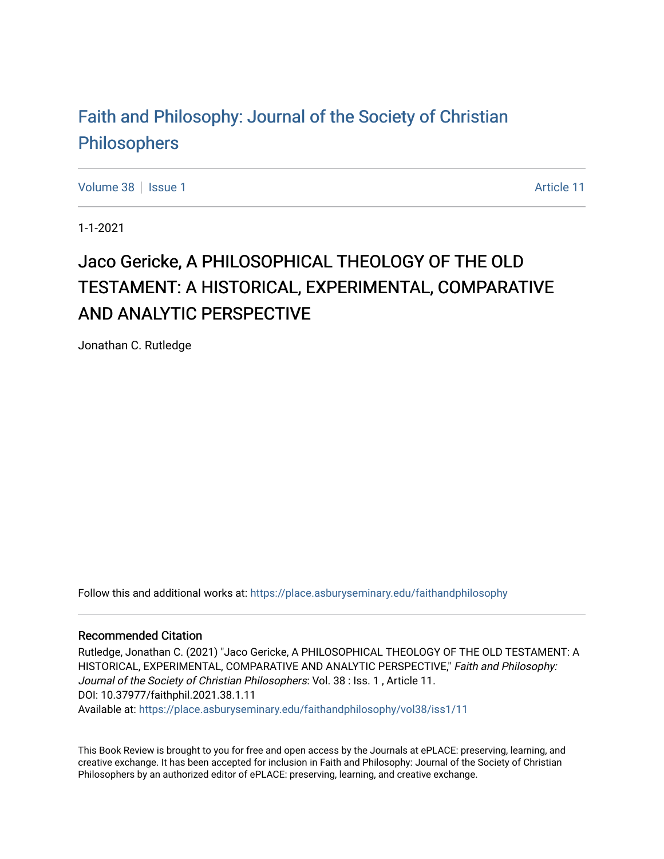## [Faith and Philosophy: Journal of the Society of Christian](https://place.asburyseminary.edu/faithandphilosophy)  [Philosophers](https://place.asburyseminary.edu/faithandphilosophy)

[Volume 38](https://place.asburyseminary.edu/faithandphilosophy/vol38) | [Issue 1](https://place.asburyseminary.edu/faithandphilosophy/vol38/iss1) Article 11

1-1-2021

## Jaco Gericke, A PHILOSOPHICAL THEOLOGY OF THE OLD TESTAMENT: A HISTORICAL, EXPERIMENTAL, COMPARATIVE AND ANALYTIC PERSPECTIVE

Jonathan C. Rutledge

Follow this and additional works at: [https://place.asburyseminary.edu/faithandphilosophy](https://place.asburyseminary.edu/faithandphilosophy?utm_source=place.asburyseminary.edu%2Ffaithandphilosophy%2Fvol38%2Fiss1%2F11&utm_medium=PDF&utm_campaign=PDFCoverPages)

## Recommended Citation

Rutledge, Jonathan C. (2021) "Jaco Gericke, A PHILOSOPHICAL THEOLOGY OF THE OLD TESTAMENT: A HISTORICAL, EXPERIMENTAL, COMPARATIVE AND ANALYTIC PERSPECTIVE," Faith and Philosophy: Journal of the Society of Christian Philosophers: Vol. 38 : Iss. 1 , Article 11. DOI: 10.37977/faithphil.2021.38.1.11 Available at: [https://place.asburyseminary.edu/faithandphilosophy/vol38/iss1/11](https://place.asburyseminary.edu/faithandphilosophy/vol38/iss1/11?utm_source=place.asburyseminary.edu%2Ffaithandphilosophy%2Fvol38%2Fiss1%2F11&utm_medium=PDF&utm_campaign=PDFCoverPages) 

This Book Review is brought to you for free and open access by the Journals at ePLACE: preserving, learning, and creative exchange. It has been accepted for inclusion in Faith and Philosophy: Journal of the Society of Christian Philosophers by an authorized editor of ePLACE: preserving, learning, and creative exchange.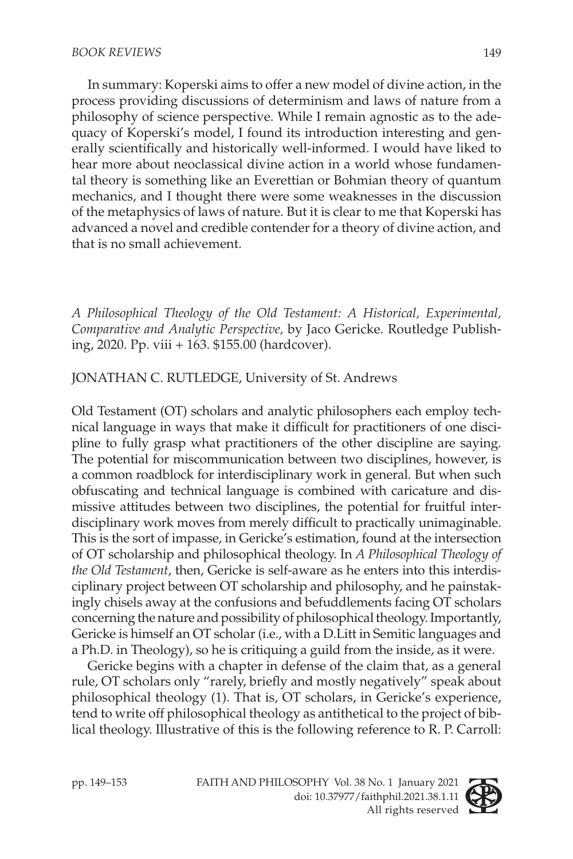In summary: Koperski aims to offer a new model of divine action, in the process providing discussions of determinism and laws of nature from a philosophy of science perspective. While I remain agnostic as to the adequacy of Koperski's model, I found its introduction interesting and generally scientifically and historically well-informed. I would have liked to hear more about neoclassical divine action in a world whose fundamental theory is something like an Everettian or Bohmian theory of quantum mechanics, and I thought there were some weaknesses in the discussion of the metaphysics of laws of nature. But it is clear to me that Koperski has advanced a novel and credible contender for a theory of divine action, and that is no small achievement.

*A Philosophical Theology of the Old Testament: A Historical, Experimental, Comparative and Analytic Perspective,* by Jaco Gericke. Routledge Publishing, 2020. Pp. viii + 163. \$155.00 (hardcover).

JONATHAN C. RUTLEDGE, University of St. Andrews

Old Testament (OT) scholars and analytic philosophers each employ technical language in ways that make it difficult for practitioners of one discipline to fully grasp what practitioners of the other discipline are saying. The potential for miscommunication between two disciplines, however, is a common roadblock for interdisciplinary work in general. But when such obfuscating and technical language is combined with caricature and dismissive attitudes between two disciplines, the potential for fruitful interdisciplinary work moves from merely difficult to practically unimaginable. This is the sort of impasse, in Gericke's estimation, found at the intersection of OT scholarship and philosophical theology. In *A Philosophical Theology of the Old Testament*, then, Gericke is self-aware as he enters into this interdisciplinary project between OT scholarship and philosophy, and he painstakingly chisels away at the confusions and befuddlements facing OT scholars concerning the nature and possibility of philosophical theology. Importantly, Gericke is himself an OT scholar (i.e., with a D.Litt in Semitic languages and a Ph.D. in Theology), so he is critiquing a guild from the inside, as it were.

Gericke begins with a chapter in defense of the claim that, as a general rule, OT scholars only "rarely, briefly and mostly negatively" speak about philosophical theology (1). That is, OT scholars, in Gericke's experience, tend to write off philosophical theology as antithetical to the project of biblical theology. Illustrative of this is the following reference to R. P. Carroll:

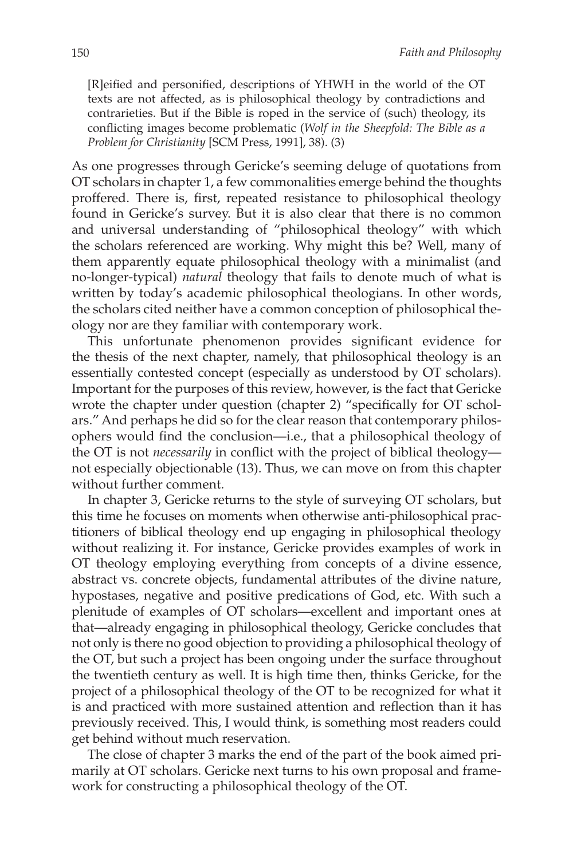[R]eified and personified, descriptions of YHWH in the world of the OT texts are not affected, as is philosophical theology by contradictions and contrarieties. But if the Bible is roped in the service of (such) theology, its conflicting images become problematic (*Wolf in the Sheepfold: The Bible as a Problem for Christianity* [SCM Press, 1991], 38). (3)

As one progresses through Gericke's seeming deluge of quotations from OT scholars in chapter 1, a few commonalities emerge behind the thoughts proffered. There is, first, repeated resistance to philosophical theology found in Gericke's survey. But it is also clear that there is no common and universal understanding of "philosophical theology" with which the scholars referenced are working. Why might this be? Well, many of them apparently equate philosophical theology with a minimalist (and no-longer-typical) *natural* theology that fails to denote much of what is written by today's academic philosophical theologians. In other words, the scholars cited neither have a common conception of philosophical theology nor are they familiar with contemporary work.

This unfortunate phenomenon provides significant evidence for the thesis of the next chapter, namely, that philosophical theology is an essentially contested concept (especially as understood by OT scholars). Important for the purposes of this review, however, is the fact that Gericke wrote the chapter under question (chapter 2) "specifically for OT scholars." And perhaps he did so for the clear reason that contemporary philosophers would find the conclusion—i.e., that a philosophical theology of the OT is not *necessarily* in conflict with the project of biblical theology not especially objectionable (13). Thus, we can move on from this chapter without further comment.

In chapter 3, Gericke returns to the style of surveying OT scholars, but this time he focuses on moments when otherwise anti-philosophical practitioners of biblical theology end up engaging in philosophical theology without realizing it. For instance, Gericke provides examples of work in OT theology employing everything from concepts of a divine essence, abstract vs. concrete objects, fundamental attributes of the divine nature, hypostases, negative and positive predications of God, etc. With such a plenitude of examples of OT scholars—excellent and important ones at that—already engaging in philosophical theology, Gericke concludes that not only is there no good objection to providing a philosophical theology of the OT, but such a project has been ongoing under the surface throughout the twentieth century as well. It is high time then, thinks Gericke, for the project of a philosophical theology of the OT to be recognized for what it is and practiced with more sustained attention and reflection than it has previously received. This, I would think, is something most readers could get behind without much reservation.

The close of chapter 3 marks the end of the part of the book aimed primarily at OT scholars. Gericke next turns to his own proposal and framework for constructing a philosophical theology of the OT.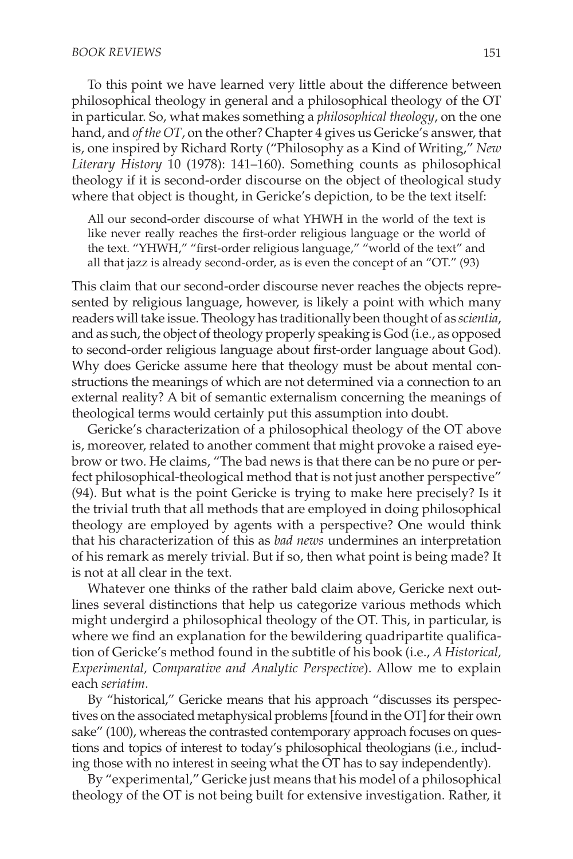To this point we have learned very little about the difference between philosophical theology in general and a philosophical theology of the OT in particular. So, what makes something a *philosophical theology*, on the one hand, and *of the OT*, on the other? Chapter 4 gives us Gericke's answer, that is, one inspired by Richard Rorty ("Philosophy as a Kind of Writing," *New Literary History* 10 (1978): 141–160). Something counts as philosophical theology if it is second-order discourse on the object of theological study where that object is thought, in Gericke's depiction, to be the text itself:

All our second-order discourse of what YHWH in the world of the text is like never really reaches the first-order religious language or the world of the text. "YHWH," "first-order religious language," "world of the text" and all that jazz is already second-order, as is even the concept of an "OT." (93)

This claim that our second-order discourse never reaches the objects represented by religious language, however, is likely a point with which many readers will take issue. Theology has traditionally been thought of as *scientia*, and as such, the object of theology properly speaking is God (i.e., as opposed to second-order religious language about first-order language about God). Why does Gericke assume here that theology must be about mental constructions the meanings of which are not determined via a connection to an external reality? A bit of semantic externalism concerning the meanings of theological terms would certainly put this assumption into doubt.

Gericke's characterization of a philosophical theology of the OT above is, moreover, related to another comment that might provoke a raised eyebrow or two. He claims, "The bad news is that there can be no pure or perfect philosophical-theological method that is not just another perspective" (94). But what is the point Gericke is trying to make here precisely? Is it the trivial truth that all methods that are employed in doing philosophical theology are employed by agents with a perspective? One would think that his characterization of this as *bad news* undermines an interpretation of his remark as merely trivial. But if so, then what point is being made? It is not at all clear in the text.

Whatever one thinks of the rather bald claim above, Gericke next outlines several distinctions that help us categorize various methods which might undergird a philosophical theology of the OT. This, in particular, is where we find an explanation for the bewildering quadripartite qualification of Gericke's method found in the subtitle of his book (i.e., *A Historical, Experimental, Comparative and Analytic Perspective*). Allow me to explain each *seriatim*.

By "historical," Gericke means that his approach "discusses its perspectives on the associated metaphysical problems [found in the OT] for their own sake" (100), whereas the contrasted contemporary approach focuses on questions and topics of interest to today's philosophical theologians (i.e., including those with no interest in seeing what the OT has to say independently).

By "experimental," Gericke just means that his model of a philosophical theology of the OT is not being built for extensive investigation. Rather, it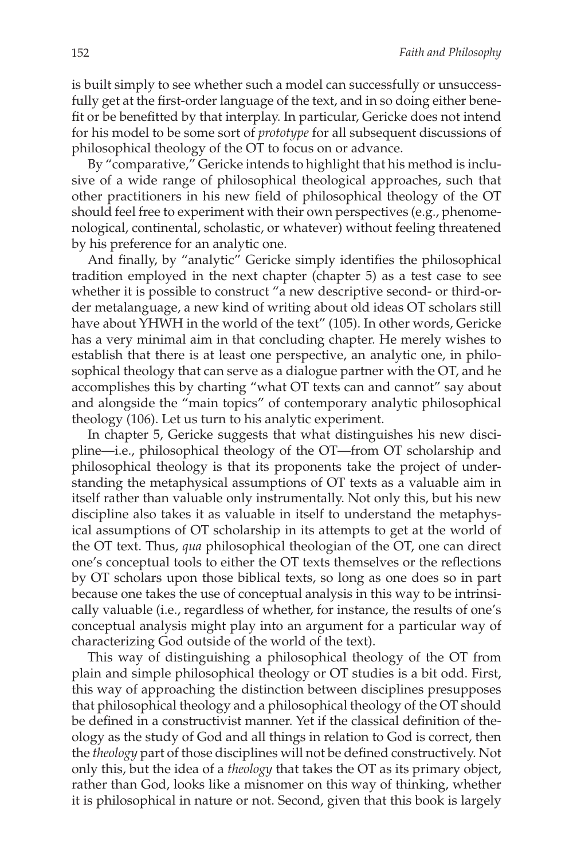is built simply to see whether such a model can successfully or unsuccessfully get at the first-order language of the text, and in so doing either benefit or be benefitted by that interplay. In particular, Gericke does not intend for his model to be some sort of *prototype* for all subsequent discussions of philosophical theology of the OT to focus on or advance.

By "comparative," Gericke intends to highlight that his method is inclusive of a wide range of philosophical theological approaches, such that other practitioners in his new field of philosophical theology of the OT should feel free to experiment with their own perspectives (e.g., phenomenological, continental, scholastic, or whatever) without feeling threatened by his preference for an analytic one.

And finally, by "analytic" Gericke simply identifies the philosophical tradition employed in the next chapter (chapter 5) as a test case to see whether it is possible to construct "a new descriptive second- or third-order metalanguage, a new kind of writing about old ideas OT scholars still have about YHWH in the world of the text" (105). In other words, Gericke has a very minimal aim in that concluding chapter. He merely wishes to establish that there is at least one perspective, an analytic one, in philosophical theology that can serve as a dialogue partner with the OT, and he accomplishes this by charting "what OT texts can and cannot" say about and alongside the "main topics" of contemporary analytic philosophical theology (106). Let us turn to his analytic experiment.

In chapter 5, Gericke suggests that what distinguishes his new discipline—i.e., philosophical theology of the OT—from OT scholarship and philosophical theology is that its proponents take the project of understanding the metaphysical assumptions of OT texts as a valuable aim in itself rather than valuable only instrumentally. Not only this, but his new discipline also takes it as valuable in itself to understand the metaphysical assumptions of OT scholarship in its attempts to get at the world of the OT text. Thus, *qua* philosophical theologian of the OT, one can direct one's conceptual tools to either the OT texts themselves or the reflections by OT scholars upon those biblical texts, so long as one does so in part because one takes the use of conceptual analysis in this way to be intrinsically valuable (i.e., regardless of whether, for instance, the results of one's conceptual analysis might play into an argument for a particular way of characterizing God outside of the world of the text).

This way of distinguishing a philosophical theology of the OT from plain and simple philosophical theology or OT studies is a bit odd. First, this way of approaching the distinction between disciplines presupposes that philosophical theology and a philosophical theology of the OT should be defined in a constructivist manner. Yet if the classical definition of theology as the study of God and all things in relation to God is correct, then the *theology* part of those disciplines will not be defined constructively. Not only this, but the idea of a *theology* that takes the OT as its primary object, rather than God, looks like a misnomer on this way of thinking, whether it is philosophical in nature or not. Second, given that this book is largely